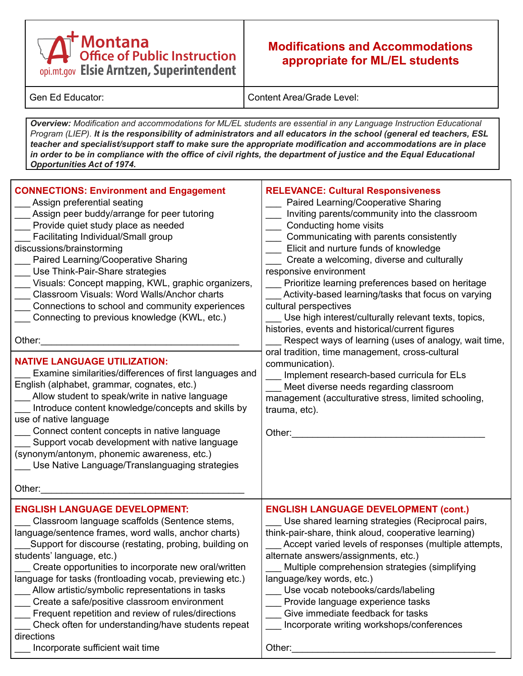## Montana<br>Office of Public Instruction opi.mt.gov Elsie Arntzen, Superintendent

## **Modifications and Accommodations appropriate for ML/EL students**

Gen Ed Educator: Content Area/Grade Level:

*Overview: Modification and accommodations for ML/EL students are essential in any Language Instruction Educational* Program (LIEP). It is the responsibility of administrators and all educators in the school (general ed teachers, ESL *teacher and specialist/support staff to make sure the appropriate modification and accommodations are in place* in order to be in compliance with the office of civil rights, the department of justice and the Equal Educational *Opportunities Act of 1974.*

| <b>CONNECTIONS: Environment and Engagement</b><br>Assign preferential seating<br>Assign peer buddy/arrange for peer tutoring<br>Provide quiet study place as needed<br>Facilitating Individual/Small group<br>discussions/brainstorming<br>Paired Learning/Cooperative Sharing<br>Use Think-Pair-Share strategies<br>Visuals: Concept mapping, KWL, graphic organizers,<br>Classroom Visuals: Word Walls/Anchor charts<br>Connections to school and community experiences<br>Connecting to previous knowledge (KWL, etc.)<br>Other:<br><b>NATIVE LANGUAGE UTILIZATION:</b><br>Examine similarities/differences of first languages and<br>English (alphabet, grammar, cognates, etc.)<br>Allow student to speak/write in native language<br>Introduce content knowledge/concepts and skills by<br>use of native language<br>Connect content concepts in native language<br>Support vocab development with native language<br>(synonym/antonym, phonemic awareness, etc.)<br>Use Native Language/Translanguaging strategies<br>Other: | <b>RELEVANCE: Cultural Responsiveness</b><br>Paired Learning/Cooperative Sharing<br>Inviting parents/community into the classroom<br>Conducting home visits<br>Communicating with parents consistently<br>Elicit and nurture funds of knowledge<br>Create a welcoming, diverse and culturally<br>responsive environment<br>Prioritize learning preferences based on heritage<br>Activity-based learning/tasks that focus on varying<br>cultural perspectives<br>Use high interest/culturally relevant texts, topics,<br>histories, events and historical/current figures<br>Respect ways of learning (uses of analogy, wait time,<br>oral tradition, time management, cross-cultural<br>communication).<br>Implement research-based curricula for ELs<br>Meet diverse needs regarding classroom<br>management (acculturative stress, limited schooling,<br>trauma, etc).<br>Other: |
|-------------------------------------------------------------------------------------------------------------------------------------------------------------------------------------------------------------------------------------------------------------------------------------------------------------------------------------------------------------------------------------------------------------------------------------------------------------------------------------------------------------------------------------------------------------------------------------------------------------------------------------------------------------------------------------------------------------------------------------------------------------------------------------------------------------------------------------------------------------------------------------------------------------------------------------------------------------------------------------------------------------------------------------|------------------------------------------------------------------------------------------------------------------------------------------------------------------------------------------------------------------------------------------------------------------------------------------------------------------------------------------------------------------------------------------------------------------------------------------------------------------------------------------------------------------------------------------------------------------------------------------------------------------------------------------------------------------------------------------------------------------------------------------------------------------------------------------------------------------------------------------------------------------------------------|
| <b>ENGLISH LANGUAGE DEVELOPMENT:</b><br>Classroom language scaffolds (Sentence stems,<br>language/sentence frames, word walls, anchor charts)<br>Support for discourse (restating, probing, building on<br>students' language, etc.)<br>Create opportunities to incorporate new oral/written<br>language for tasks (frontloading vocab, previewing etc.)<br>Allow artistic/symbolic representations in tasks<br>Create a safe/positive classroom environment<br>Frequent repetition and review of rules/directions<br>Check often for understanding/have students repeat<br>directions<br>Incorporate sufficient wait time                                                                                                                                                                                                                                                                                                                                                                                                          | <b>ENGLISH LANGUAGE DEVELOPMENT (cont.)</b><br>Use shared learning strategies (Reciprocal pairs,<br>think-pair-share, think aloud, cooperative learning)<br>Accept varied levels of responses (multiple attempts,<br>alternate answers/assignments, etc.)<br>Multiple comprehension strategies (simplifying<br>language/key words, etc.)<br>Use vocab notebooks/cards/labeling<br>Provide language experience tasks<br>Give immediate feedback for tasks<br>Incorporate writing workshops/conferences<br>Other:                                                                                                                                                                                                                                                                                                                                                                    |